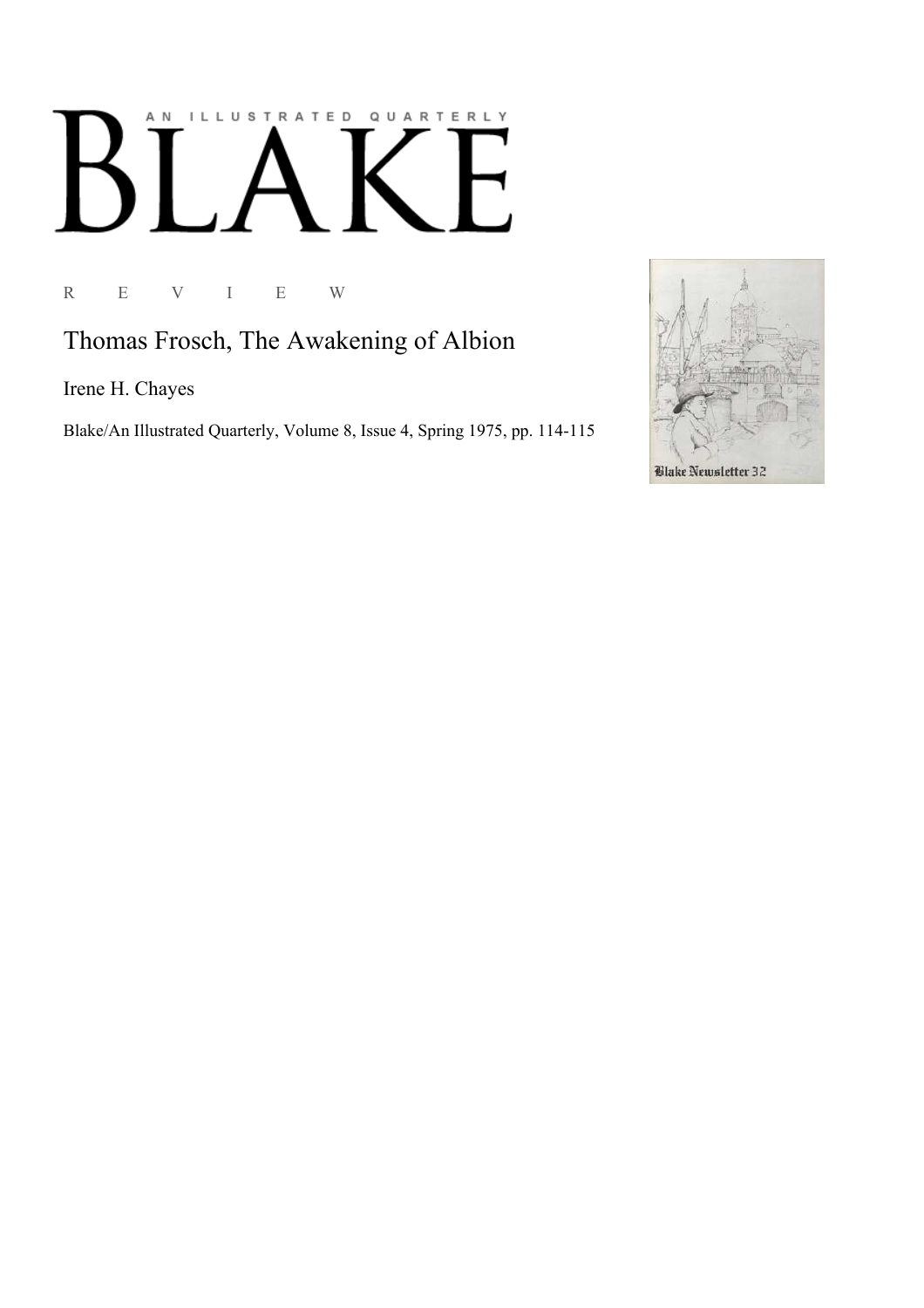## AN ILLUSTRATED QUARTERLY  $\lceil$  $\bf{B}$  $\overline{\phantom{a}}$

R E V I E W

Thomas Frosch, The Awakening of Albion

Irene H. Chayes

Blake/An Illustrated Quarterly, Volume 8, Issue 4, Spring 1975, pp. 114-115

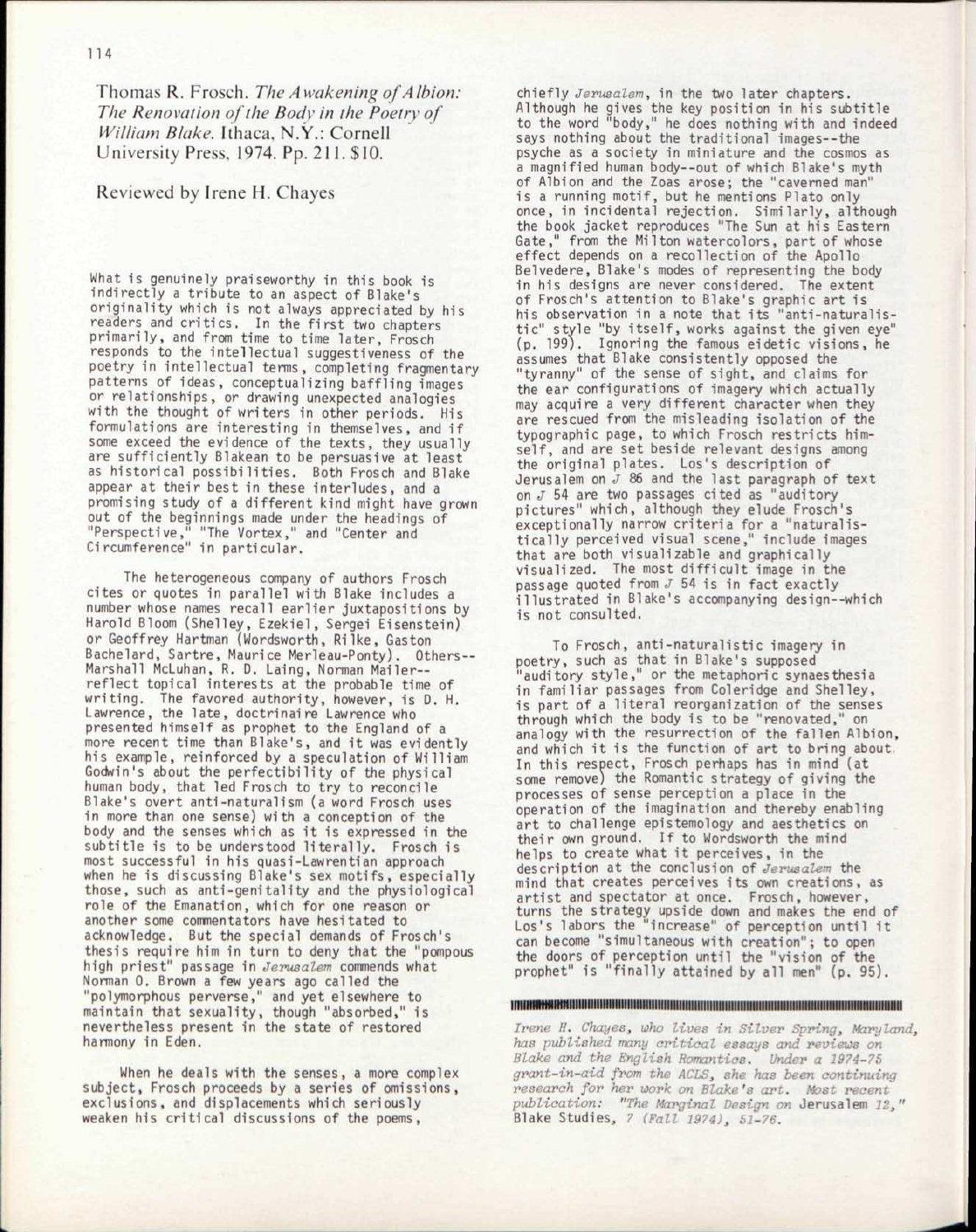Thomas R. Frosch. *The Awakening of Albion: The Renovation of the Body in the Poetry of William Blake.* Ithaca, N.Y.: Cornell University Press, 1974. Pp. 211. \$10.

## Reviewed by Irene H. Chayes

What is genuinely praiseworthy in this book is indirectly a tribute to an aspect of Blake's originality which is not always appreciated by his readers and critics. In the first two chapters primarily, and from time to time later, Frosch responds to the intellectual suggestiveness of the poetry in intellectual terms, completing fragmentary patterns of ideas, conceptualizing baffling images or relationships, or drawing unexpected analogies with the thought of writers in other periods. His formulations are interesting in themselves, and if some exceed the evidence of the texts , they usually are sufficiently Blakean to be persuasive at least as historical possibilities. Both Frosch and Blake appear at their best in these interludes, and a promising study of a different kind might have grown out of the beginnings made under the headings of "Perspective," "The Vortex," and "Center and Circumference" in particular.

The heterogeneous company of authors Frosch cites or quotes in parallel with Blake includes a number whose names recall earlier juxtapositions by Harold Bloom (Shelley, Ezekiel, Sergei Eisenstein) or Geoffrey Hartman (Wordsworth, Rilke, Gaston Bachelard, Sartre, Maurice Merleau-Ponty). Others - Marshall McLuhan, R. D. Laing, Norman Mailerreflect topical interests at the probable time of writing. The favored authority, however, is D. H. Lawrence, the late, doctrinaire Lawrence who presented himself as prophet to the England of a more recent time than Blake's, and it was evidently his example, reinforced by a speculation of William Godwin's about the perfectibility of the physical human body, that led Frosch to try to reconcile Blake's overt anti-naturalism (a word Frosch uses in more than one sense) with a conception of the body and the senses which as it is expressed in the subtitle is to be understood literally. Frosch is most successful in his quasi-Lawrentian approach when he is discussing Blake's sex motifs, especially those, such as anti-genitality and the physiological role of the Emanation, which for one reason or another some commentators have hesitated to acknowledge. But the special demands of Frosch's thesis require him in turn to deny that the "pompous high priest" passage in *Jerusalem* commends what Norman 0. Brown a few years ago called the "polymorphous perverse," and yet elsewhere to maintain that sexuality, though "absorbed," is nevertheless present in the state of restored harmony in Eden.

When he deals with the senses, a more complex subject, Frosch proceeds by a series of omissions, exclusions, and displacements which seriously weaken his critical discussions of the poems,

chiefly *Jerusalem*, in the two later chapters. Although he gives the key position in his subtitle to the word "body," he does nothing with and indeed says nothing about the traditional images—the psyche as a society in miniature and the cosmos as a magnified human body—out of which Blake's myth of Albion and the Zoas arose; the "caverned man" is a running motif, but he mentions Plato only once, in incidental rejection. Similarly , although the book jacket reproduces "The Sun at his Eastern Gate," from the Milton watercolors, part of whose effect depends on a recollection of the Apollo Belvedere, Blake's modes of representing the body in his designs are never considered. The extent of Frosch's attention to Blake's graphic art is his observation in a note that its "anti-naturalis-<br>tic" style "by itself, works against the given eye" tic" style "by itself, works against the given eye" (p. 199). Ignoring the famous eidetic visions, he assumes that Blake consistently opposed the "tyranny" of the sense of sight, and claims for the ear configurations of imagery which actually may acquire a very different character when they are rescued from the misleading isolation of the typographic page, to which Frosch restricts himself, and are set beside relevant designs among the original plates. Los's description of Jerusalem on *J* 86 and the last paragraph of text on *J* 54 are two passages cited as "auditory pictures" which, although they elude Frosch's exceptionally narrow criteria for a "naturalistically perceived visual scene," include images that are both visualizable and graphically visualized. The most difficult image in the passage quoted from  $J$  54 is in fact exactly illustrated in Blake's accompanying design--which is not consulted.

To Frosch, anti-naturalistic imagery in poetry, such as that in Blake's supposed auditory style," or the metaphoric synaesthesia in familiar passages from Coleridge and Shelley, is part of a literal reorganization of the senses through which the body is to be "renovated," on analogy with the resurrection of the fallen Albion, and which it is the function of art to bring about. In this respect, Frosch perhaps has in mind (at some remove) the Romantic strategy of giving the processes of sense perception a place in the operation of the imagination and thereby enabling art to challenge epistemology and aesthetics on their own ground. If to Wordsworth the mind helps to create what it perceives, in the description at the conclusion of *Jerusalem* the mind that creates perceives its own creations, as artist and spectator at once. Frosch, however, turns the strategy upside down and makes the end of Los's labors the "increase" of perception until it can become "simultaneous with creation"; to open the doors of perception until the "vision of the prophet" is "finally attained by all men"  $(n, 95)$ .

## imiiiHtmimniiiiiiiiiiiiimiiiiiiiiiiiiiiiiiiiiiiiiiiiiniiiiiiiiiiiiiiiiiiiiiiiiiiiii iiiiiiiiiiiiiiniiiiiiiiiitii

*Irene H. Chayes<sup>s</sup> who lives in Silver Spring, Maryland, has published many critical essays and reviews on Blake and the English Romantics. Under a 1974-75 grant-in-aid from the ACLS, she has been continuing research for her work on Blake's art. Most recent publication: "The Marginal Design on* Jerusalem *12,"*  Blake Studies, *7 (Fall 1974), 51-76.*